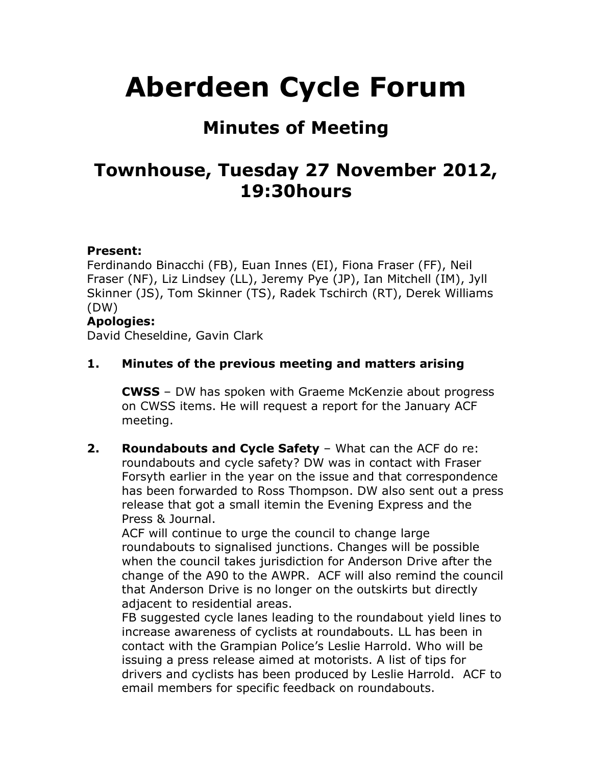# **Aberdeen Cycle Forum**

## **Minutes of Meeting**

## **Townhouse, Tuesday 27 November 2012, 19:30hours**

#### **Present:**

Ferdinando Binacchi (FB), Euan Innes (EI), Fiona Fraser (FF), Neil Fraser (NF), Liz Lindsey (LL), Jeremy Pye (JP), Ian Mitchell (IM), Jyll Skinner (JS), Tom Skinner (TS), Radek Tschirch (RT), Derek Williams (DW)

#### **Apologies:**

David Cheseldine, Gavin Clark

#### **1. Minutes of the previous meeting and matters arising**

**CWSS** – DW has spoken with Graeme McKenzie about progress on CWSS items. He will request a report for the January ACF meeting.

**2. Roundabouts and Cycle Safety** – What can the ACF do re: roundabouts and cycle safety? DW was in contact with Fraser Forsyth earlier in the year on the issue and that correspondence has been forwarded to Ross Thompson. DW also sent out a press release that got a small itemin the Evening Express and the Press & Journal.

ACF will continue to urge the council to change large roundabouts to signalised junctions. Changes will be possible when the council takes jurisdiction for Anderson Drive after the change of the A90 to the AWPR. ACF will also remind the council that Anderson Drive is no longer on the outskirts but directly adjacent to residential areas.

FB suggested cycle lanes leading to the roundabout yield lines to increase awareness of cyclists at roundabouts. LL has been in contact with the Grampian Police's Leslie Harrold. Who will be issuing a press release aimed at motorists. A list of tips for drivers and cyclists has been produced by Leslie Harrold. ACF to email members for specific feedback on roundabouts.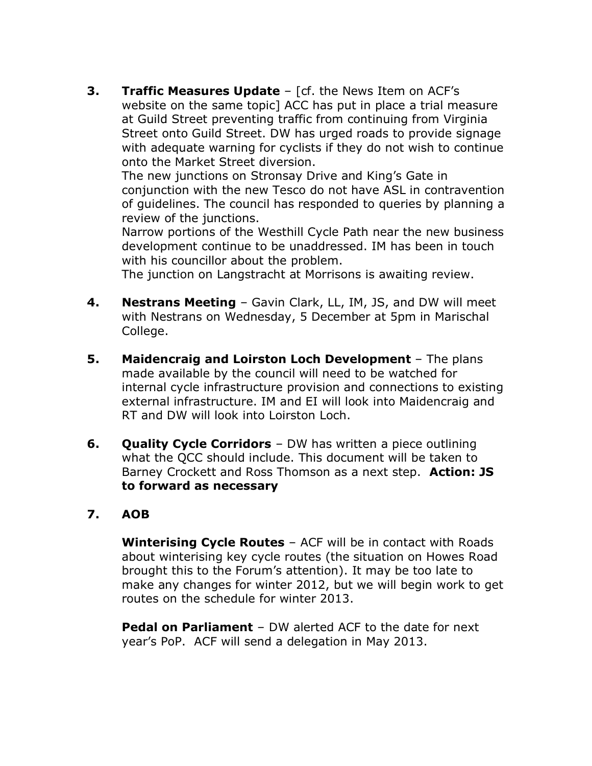**3. Traffic Measures Update** – [cf. the News Item on ACF's website on the same topic] ACC has put in place a trial measure at Guild Street preventing traffic from continuing from Virginia Street onto Guild Street. DW has urged roads to provide signage with adequate warning for cyclists if they do not wish to continue onto the Market Street diversion.

The new junctions on Stronsay Drive and King's Gate in conjunction with the new Tesco do not have ASL in contravention of guidelines. The council has responded to queries by planning a review of the junctions.

Narrow portions of the Westhill Cycle Path near the new business development continue to be unaddressed. IM has been in touch with his councillor about the problem.

The junction on Langstracht at Morrisons is awaiting review.

- **4. Nestrans Meeting** Gavin Clark, LL, IM, JS, and DW will meet with Nestrans on Wednesday, 5 December at 5pm in Marischal College.
- **5. Maidencraig and Loirston Loch Development** The plans made available by the council will need to be watched for internal cycle infrastructure provision and connections to existing external infrastructure. IM and EI will look into Maidencraig and RT and DW will look into Loirston Loch.
- **6. Quality Cycle Corridors** DW has written a piece outlining what the QCC should include. This document will be taken to Barney Crockett and Ross Thomson as a next step. **Action: JS to forward as necessary**

#### **7. AOB**

**Winterising Cycle Routes** – ACF will be in contact with Roads about winterising key cycle routes (the situation on Howes Road brought this to the Forum's attention). It may be too late to make any changes for winter 2012, but we will begin work to get routes on the schedule for winter 2013.

**Pedal on Parliament** – DW alerted ACF to the date for next year's PoP. ACF will send a delegation in May 2013.